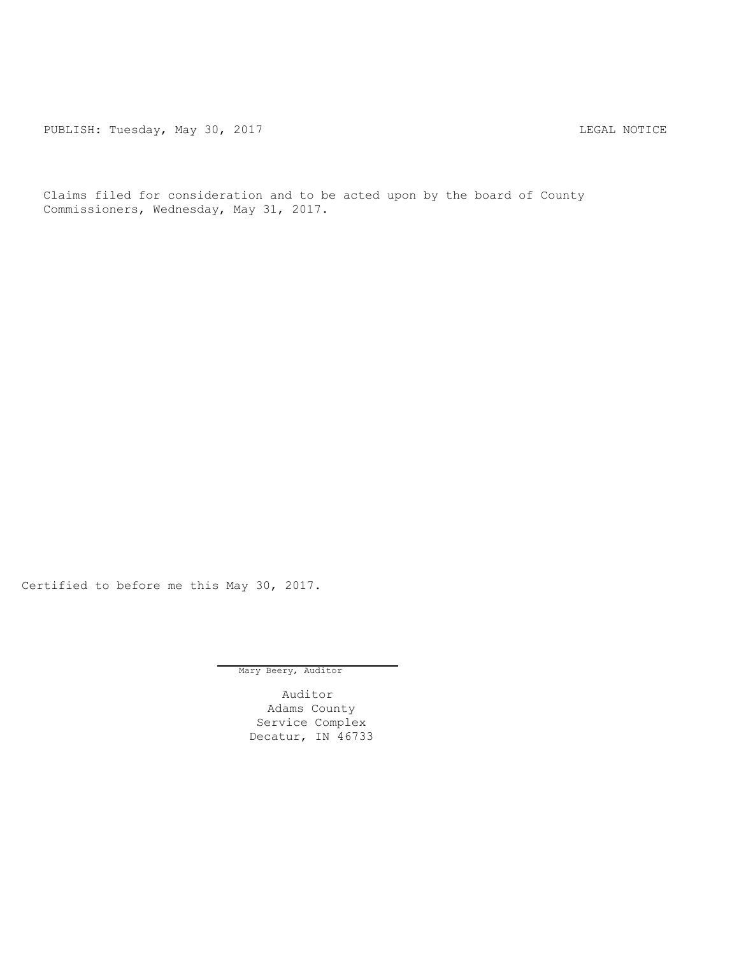PUBLISH: Tuesday, May 30, 2017 CHANGER CONSTRUCTED AND THE MOTICE

Claims filed for consideration and to be acted upon by the board of County Commissioners, Wednesday, May 31, 2017.

Certified to before me this May 30, 2017.

Mary Beery, Auditor

Auditor Adams County Service Complex Decatur, IN 46733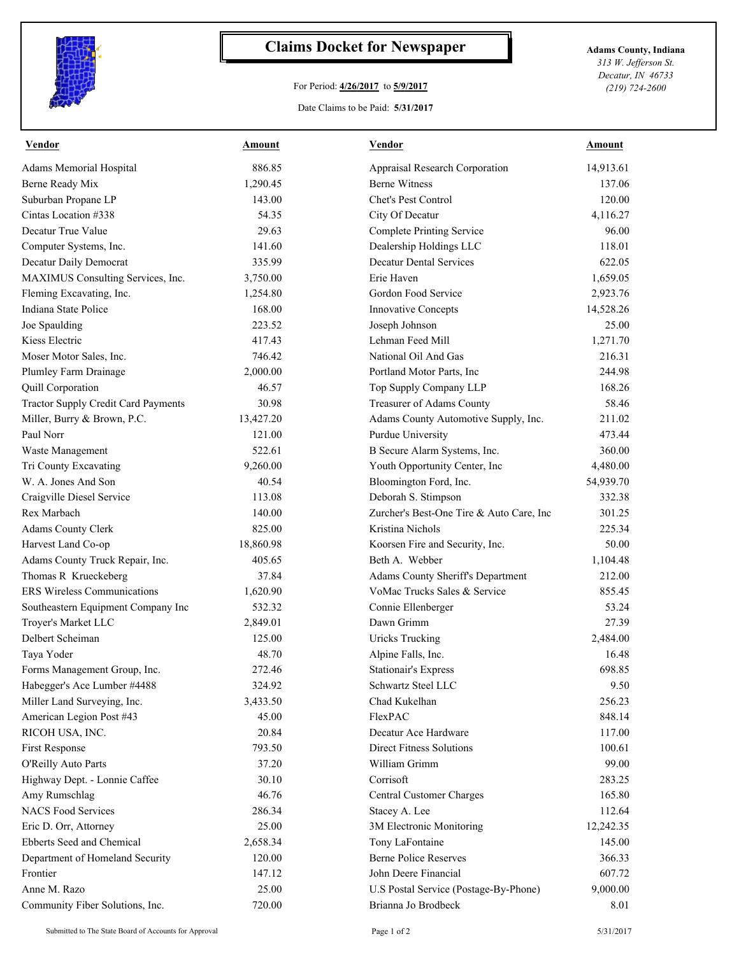

## **Claims Docket for Newspaper Adams County, Indiana**

## For Period: **4/26/2017** to **5/9/2017**

*313 W. Jefferson St. Decatur, IN 46733 (219) 724-2600*

Date Claims to be Paid: **5/31/2017**

| <b>Vendor</b>                              | Amount    | <b>Vendor</b>                            | Amount    |
|--------------------------------------------|-----------|------------------------------------------|-----------|
| Adams Memorial Hospital                    | 886.85    | Appraisal Research Corporation           | 14,913.61 |
| Berne Ready Mix                            | 1,290.45  | <b>Berne Witness</b>                     | 137.06    |
| Suburban Propane LP                        | 143.00    | Chet's Pest Control                      | 120.00    |
| Cintas Location #338                       | 54.35     | City Of Decatur                          | 4,116.27  |
| Decatur True Value                         | 29.63     | <b>Complete Printing Service</b>         | 96.00     |
| Computer Systems, Inc.                     | 141.60    | Dealership Holdings LLC                  | 118.01    |
| Decatur Daily Democrat                     | 335.99    | <b>Decatur Dental Services</b>           | 622.05    |
| MAXIMUS Consulting Services, Inc.          | 3,750.00  | Erie Haven                               | 1,659.05  |
| Fleming Excavating, Inc.                   | 1,254.80  | Gordon Food Service                      | 2,923.76  |
| Indiana State Police                       | 168.00    | Innovative Concepts                      | 14,528.26 |
| Joe Spaulding                              | 223.52    | Joseph Johnson                           | 25.00     |
| Kiess Electric                             | 417.43    | Lehman Feed Mill                         | 1,271.70  |
| Moser Motor Sales, Inc.                    | 746.42    | National Oil And Gas                     | 216.31    |
| Plumley Farm Drainage                      | 2,000.00  | Portland Motor Parts, Inc.               | 244.98    |
| Quill Corporation                          | 46.57     | Top Supply Company LLP                   | 168.26    |
| <b>Tractor Supply Credit Card Payments</b> | 30.98     | Treasurer of Adams County                | 58.46     |
| Miller, Burry & Brown, P.C.                | 13,427.20 | Adams County Automotive Supply, Inc.     | 211.02    |
| Paul Norr                                  | 121.00    | Purdue University                        | 473.44    |
| Waste Management                           | 522.61    | B Secure Alarm Systems, Inc.             | 360.00    |
| Tri County Excavating                      | 9,260.00  | Youth Opportunity Center, Inc            | 4,480.00  |
| W. A. Jones And Son                        | 40.54     | Bloomington Ford, Inc.                   | 54,939.70 |
| Craigville Diesel Service                  | 113.08    | Deborah S. Stimpson                      | 332.38    |
| Rex Marbach                                | 140.00    | Zurcher's Best-One Tire & Auto Care, Inc | 301.25    |
| Adams County Clerk                         | 825.00    | Kristina Nichols                         | 225.34    |
| Harvest Land Co-op                         | 18,860.98 | Koorsen Fire and Security, Inc.          | 50.00     |
| Adams County Truck Repair, Inc.            | 405.65    | Beth A. Webber                           | 1,104.48  |
| Thomas R Krueckeberg                       | 37.84     | Adams County Sheriff's Department        | 212.00    |
| <b>ERS</b> Wireless Communications         | 1,620.90  | VoMac Trucks Sales & Service             | 855.45    |
| Southeastern Equipment Company Inc         | 532.32    | Connie Ellenberger                       | 53.24     |
| Troyer's Market LLC                        | 2,849.01  | Dawn Grimm                               | 27.39     |
| Delbert Scheiman                           | 125.00    | <b>Uricks Trucking</b>                   | 2,484.00  |
| Taya Yoder                                 | 48.70     | Alpine Falls, Inc.                       | 16.48     |
| Forms Management Group, Inc.               | 272.46    | <b>Stationair's Express</b>              | 698.85    |
| Habegger's Ace Lumber #4488                | 324.92    | Schwartz Steel LLC                       | 9.50      |
| Miller Land Surveying, Inc.                | 3,433.50  | Chad Kukelhan                            | 256.23    |
| American Legion Post #43                   | 45.00     | FlexPAC                                  | 848.14    |
| RICOH USA, INC.                            | 20.84     | Decatur Ace Hardware                     | 117.00    |
| First Response                             | 793.50    | <b>Direct Fitness Solutions</b>          | 100.61    |
| O'Reilly Auto Parts                        | 37.20     | William Grimm                            | 99.00     |
| Highway Dept. - Lonnie Caffee              | 30.10     | Corrisoft                                | 283.25    |
| Amy Rumschlag                              | 46.76     | <b>Central Customer Charges</b>          | 165.80    |
| <b>NACS Food Services</b>                  | 286.34    | Stacey A. Lee                            | 112.64    |
| Eric D. Orr, Attorney                      | 25.00     | 3M Electronic Monitoring                 | 12,242.35 |
| Ebberts Seed and Chemical                  | 2,658.34  | Tony LaFontaine                          | 145.00    |
| Department of Homeland Security            | 120.00    | <b>Berne Police Reserves</b>             | 366.33    |
| Frontier                                   | 147.12    | John Deere Financial                     | 607.72    |
| Anne M. Razo                               | 25.00     | U.S Postal Service (Postage-By-Phone)    | 9,000.00  |
| Community Fiber Solutions, Inc.            | 720.00    | Brianna Jo Brodbeck                      | 8.01      |